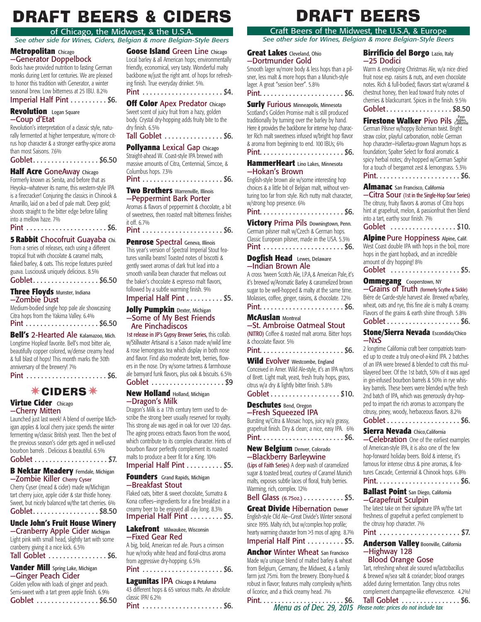# **DRAFT BEERS & CIDERS**

#### of Chicago, the Midwest, & the U.S.A.

*See other side for Wines, Ciders, Belgian & more Belgian-Style Beers*

#### **Metropolitan** Chicago —Generator Doppelbock

Bocks have provided nutrition to fasting German monks during Lent for centuries. We are pleased to honor this tradition with Generator, a winter seasonal brew. Low bitterness at 25 IBU. 8.2%

#### Imperial Half Pint . . . . . . . . . \$6.

#### **Revolution** Logan Square —Coup d'Etat

Revolution's interpretation of a classic style, naturally fermented at higher temperature, w/more citrus hop character & a stronger earthy-spice aroma than most Saisons. 7.6%

| Goblet. \$6.50 |  |  |  |  |  |  |  |  |  |  |  |  |  |  |  |  |  |  |
|----------------|--|--|--|--|--|--|--|--|--|--|--|--|--|--|--|--|--|--|
|----------------|--|--|--|--|--|--|--|--|--|--|--|--|--|--|--|--|--|--|

#### **Half Acre** GoneAway Chicago

Formerly known as Senita, and before that as Heyoka—whatever its name, this western-style IPA is a firecracker! Conjuring the classics in Chinook & Amarillo, laid on a bed of pale malt. Deep gold; shoots straight to the bitter edge before falling into a mellow haze. 7%

Pint . . . . . . . . . . . . . . . . . . . . . . \$6.

#### **5 Rabbit** Chocofruit Guayaba Chi.

From a series of releases, each using a different tropical fruit with chocolate & caramel malts, flaked barley, & oats. This recipe features puréed guava. Luscious& uniquely delicious. 8.5%

Goblet. . . . . . . . . . . . . . . . . . \$6.50

#### **Three Floyds** Munster, Indiana —Zombie Dust

Medium-bodied single hop pale ale showcasing Citra hops from the Yakima Valley. 6.4% Pint . . . . . . . . . . . . . . . . . . . . \$6.50

**Bell's** 2-Hearted Ale Kalamazoo, Mich. Longtime Hopleaf favorite. Bell's most bitter ale, beautifully copper colored, w/dense creamy head & full blast of hops! This month marks the 30th anniversary of the brewery! 7%

Pint . . . . . . . . . . . . . . . . . . . . . . \$6.

## **\*CIDERS**\*

#### **Virtue Cider** Chicago —Cherry Mitten

Launched just last week! A blend of overripe Michigan apples & local cherry juice spends the winter

fermenting w/classic British yeast. Then the best of the previous season's cider gets aged in well-used bourbon barrels . Delicious & beautiful. 6.5%

Goblet . . . . . . . . . . . . . . . . . . . . \$7.

#### **B Nektar Meadery** Ferndale, Michigan —Zombie Killer Cherry Cyser

Cherry Cyser (mead & cider) made w/Michigan tart cherry juice, apple cider & star thistle honey. Sweet, but nicely balanced w/the tart cherries. 6% Goblet. . . . . . . . . . . . . . . . . . \$8.50

## **Uncle John's Fruit House Winery**

—Cranberry Apple Cider Michigan Light pink with small head, slightly tart with some cranberry giving it a nice kick. 6.5%

Tall Goblet . . . . . . . . . . . . . . . \$6.

#### **Vander Mill** Spring Lake, Michigan —Ginger Peach Cider

Golden yellow with loads of ginger and peach. Semi-sweet with a tart green apple finish. 6.9% Goblet . . . . . . . . . . . . . . . . \$6.50

**Goose Island** Green Line Chicago Local barley & all American hops; environmentally friendly, economical, very tasty. Wonderful malty backbone w/just the right amt. of hops for refreshing finish. True everyday drinker. 5%.

Pint . . . . . . . . . . . . . . . . . . . . . . \$4.

**Off Color** Apex Predator Chicago Sweet scent of juicy fruit from a hazy, golden body. Crystal dry-hopping adds fruity bite to the

dry finish. 6.5% Tall Goblet . . . . . . . . . . . . . . . \$6.

#### **Pollyanna** Lexical Gap Chicago

Straight-ahead W. Coast-style IPA brewed with massive amounts of Citra, Centennial, Simcoe, & Columbus hops. 7.3% Pint . . . . . . . . . . . . . . . . . . . . . . \$6.

#### **Two Brothers** Warrenville, Illinois —Peppermint Bark Porter

Aromas & flavors of peppermint & chocolate, a bit of sweetness, then roasted malt bitterness finishes it off. 6.7%

#### Pint . . . . . . . . . . . . . . . . . . . . . . \$6.

#### **Penrose Spectral Geneva, Illinois**

This year's version of Spectral Imperial Stout features vanilla beans! Toasted notes of biscotti & gently sweet aromas of dark fruit lead into a smooth vanilla bean character that mellows out the baker's chocolate & espresso malt flavors, followed by a subtle warming finish. 9%

# Imperial Half Pint . . . . . . . . . \$5.

#### **Jolly Pumpkin Dexter, Michigan** —Some of My Best Friends Are Pinchadiscos

1st release in JP's Gypsy Brewer Series, this collab. w/Stillwater Artisanal is a Saison made w/wild lime & rose lemongrass tea which display in both nose and flavor. Find also moderate brett, berries, flowers in the nose. Dry w/some tartness & farmhouse ale barnyard funk flavors, plus oak & biscuits. 6.5% Goblet . . . . . . . . . . . . . . . . . . . . \$9

#### **New Holland** Holland, Michigan —Dragon's Milk

Dragon's Milk is a 17th century term used to describe the strong beer usually reserved for royalty. This strong ale was aged in oak for over 120 days. The aging process extracts flavors from the wood, which contribute to its complex character. Hints of bourbon flavor perfectly complement its roasted malts to produce a beer fit for a King. 10%

Imperial Half Pint . . . . . . . . . \$5.

#### **Founders** Grand Rapids, Michigan —Breakfast Stout

Flaked oats, bitter & sweet chocolate, Sumatra & Kona coffees—ingredients for a fine breakfast in a creamy beer to be enjoyed all day long. 8.3% Imperial Half Pint . . . . . . . . . \$5.

# **Lakefront** Milwaukee, Wisconsin

### —Fixed Gear Red

A big, bold, American red ale. Pours a crimson hue w/rocky white head and floral-citrus aroma from aggressive dry-hopping. 6.5%

#### Pint . . . . . . . . . . . . . . . . . . . . . . \$6.

#### **Lagunitas** IPA Chicago & Petaluma

43 different hops & 65 various malts. An absolute classic IPA! 6.2% Pint . . . . . . . . . . . . . . . . . . . . . . \$6.

# **DRAFT BEERS**

### Craft Beers of the Midwest, the U.S.A, & Europe

*See other side for Wines, Belgian & more Belgian-Style Beers*

#### **Great Lakes** Cleveland, Ohio —Dortmunder Gold

Smooth lager w/more body & less hops than a pilsner, less malt & more hops than a Munich-style lager. A great "session beer". 5.8%

Pint. . . . . . . . . . . . . . . . . . . . . . . \$6.

**Surly Furious Minneapolis, Minnesota** Scotland's Golden Promise malt is still produced traditionally by turning over the barley by hand. Here it provides the backbone for intense hop character Rich malt sweetness infused w/bright hop flavor & aroma from beginning to end. 100 IBUs; 6% Pint. . . . . . . . . . . . . . . . . . . . . . . \$6.

**HammerHeart** Lino Lakes, Minnesota

# —Hokan's Brown

English-style brown ale w/some interesting hop choices & a little bit of Belgian malt, without venturing too far from style. Rich nutty malt character, w/strong hop presence. 6%

### Pint. . . . . . . . . . . . . . . . . . . . . . . \$6.

**Victory** Prima Pils Downingtown, Penn. German pilsner malt w/Czech & German hops. Classic European pilsner, made in the USA. 5.3% Pint . . . . . . . . . . . . . . . . . . . . . . \$6.

#### **Dogfish Head** Lewes, Delaware —Indian Brown Ale

A cross 'tween Scotch Ale, I.P.A, & American Pale, it's it's brewed w/Aromatic Barley & caramelized brown sugar to be well-hopped & malty at the same time. Molasses, coffee, ginger, raisins, & chocolate. 7.2% Pint. . . . . . . . . . . . . . . . . . . . . . . \$6.

**McAuslan** Montreal

# —St. Ambroise Oatmeal Stout

(NITRO) Coffee & roasted malt aroma. Bitter hops & chocolate flavor. 5%

#### Pint. . . . . . . . . . . . . . . . . . . . . . . \$6.

**Wild Evolver** Westcombe, England Conceived in Amer. Wild Ale-style, it's an IPA w/tons of Brett. Light malt, yeast, fresh fruity hops, grass, citrus w/a dry & lightly bitter finish. 5.8% Goblet . . . . . . . . . . . . . . . . . . . \$10.

**Deschutes** Bend, Oregon —Fresh Squeezed IPA Bursting w/Citra & Mosaic hops, juicy w/a grassy, grapefruit finish. Dry & clean; a nice, easy IPA. 6% Pint. . . . . . . . . . . . . . . . . . . . . . . \$6.

#### **New Belgium** Denver, Colorado —Blackberry Barleywine

(Lips of Faith Series) A deep wash of caramelized sugar & toasted bread, courtesy of Caramel Munich malts, exposes subtle laces of floral, fruity berries. Warming, rich, complex. 12%

#### Bell Glass (6.75oz.) . . . . . . . . . . . \$5.

**Great Divide Hibernation Denver** English-style Old Ale—Great Divide's Winter seasonal since 1995. Malty rich, but w/complex hop profile; hearty warming character from >3 mos of aging. 8.7%

Imperial Half Pint . . . . . . . . . \$5. **Anchor** Winter Wheat San Francisco Made w/a unique blend of malted barley & wheat from Belgium, Germany, the Midwest, & a family farm just 75mi. from the brewery. Ebony-hued &

robust in flavor; features malty complexity w/hints of licorice, and a thick creamy head. 7%

*Menu as of Dec. 29, 2015 Please note: prices do not include tax* Pint. . . . . . . . . . . . . . . . . . . . . . . \$6.

#### **Birrificio del Borgo** Lazio, Italy —25 Dodici

Warm & enveloping Christmas Ale, w/a nice dried fruit nose esp. raisins & nuts, and even chocolate notes. Rich & full-bodied; flavors start w/caramel & chestnut honey, then lead toward fruity notes of cherries & blackcurrant. Spices in the finish. 9.5% Goblet . . . . . . . . . . . . . . . . . . \$8.50

**Firestone Walker** Pivo Pils Robles German Pilsner w/hoppy Bohemian twist. Bright straw color, playful carbonation, noble German hop character—Hallertau-grown Magnum hops as foundation; Spalter Select for floral aromatic & spicy herbal notes; dry-hopped w/German Saphir for a touch of bergamot zest & lemongrass. 5.3% Pint. . . . . . . . . . . . . . . . . . . . . . . \$6.

#### **Almanac** San Francisco, California

—Citra Sour (1st in the Single-Hop Sour Series) The citrusy, fruity flavors & aromas of Citra hops hint at grapefruit, melon, & passionfruit then blend into a tart, earthy sour finish. 7%

Goblet ..................\$10.

**Alpine** Pure Hoppiness Alpine, Calif. West Coast double IPA with hops in the boil, more hops in the giant hopback, and an incredible amount of dry hopping! 8%

Goblet .................... \$5.

#### **Ommegang** Cooperstown, NY —Grains of Truth (formerly Scythe & Sickle)

Biére de Garde-style harvest ale. Brewed w/barley, wheat, oats and rye, this fine ale is malty & creamy. Flavors of the grains & earth shine through. 5.8% Goblet . . . . . . . . . . . . . . . . . . . . \$6.

#### **Stone/Sierra Nevada** Escondido/Chico —NxS

2 longtime California craft beer compatriots teamed up to create a truly one-of-a-kind IPA. 2 batches of an IPA were brewed & blended to craft this multilayered beer. Of the 1st batch, 50% of it was aged in gin-infused bourbon barrels & 50% in rye whiskey barrels. These beers were blended w/the fresh 2nd batch of IPA, which was generously dry-hopped to impart the rich aromas to accompany the citrusy, piney, woody, herbaceous flavors. 8.2% Goblet . . . . . . . . . . . . . . . . . . . . \$6.

#### **Sierra Nevada** Chico,California

**-Celebration** One of the earliest examples of American-style IPA, it is also one of the few hop-forward holiday beers. Bold & intense, it's famous for intense citrus & pine aromas, & features Cascade, Centennial & Chinook hops. 6.8%

#### Pint. . . . . . . . . . . . . . . . . . . . . . . \$6.

freshness of grapefruit a perfect complement to

Pint . . . . . . . . . . . . . . . . . . . . . \$7. **Anderson Valley** Boonville, California

#### **Ballast Point** San Diego, California —Grapefruit Sculpin The latest take on their signature IPA w/the tart

the citrusy hop character. 7%

—Highway 128 Blood Orange Gose Tart, refreshing wheat ale soured w/lactobacillus & brewed w/sea salt & coriander; blood oranges added during fermentation. Tangy citrus notes complement champagne-like effervescence. 4.2%! Tall Goblet . . . . . . . . . . . . . . . \$6.